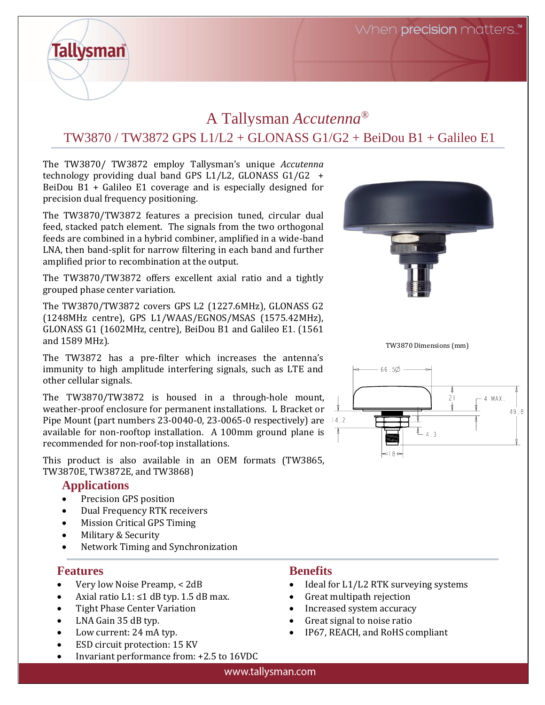When **precision** matters.."

# A Tallysman *Accutenna®* TW3870 / TW3872 GPS L1/L2 + GLONASS G1/G2 + BeiDou B1 + Galileo E1

The TW3870/ TW3872 employ Tallysman's unique *Accutenna* technology providing dual band GPS L1/L2, GLONASS G1/G2 + BeiDou B1 + Galileo E1 coverage and is especially designed for precision dual frequency positioning.

The TW3870/TW3872 features a precision tuned, circular dual feed, stacked patch element. The signals from the two orthogonal feeds are combined in a hybrid combiner, amplified in a wide-band LNA, then band-split for narrow filtering in each band and further amplified prior to recombination at the output.

The TW3870/TW3872 offers excellent axial ratio and a tightly grouped phase center variation.

The TW3870/TW3872 covers GPS L2 (1227.6MHz), GLONASS G2 (1248MHz centre), GPS L1/WAAS/EGNOS/MSAS (1575.42MHz), GLONASS G1 (1602MHz, centre), BeiDou B1 and Galileo E1. (1561 and 1589 MHz).

The TW3872 has a pre-filter which increases the antenna's immunity to high amplitude interfering signals, such as LTE and other cellular signals.

The TW3870/TW3872 is housed in a through-hole mount, weather-proof enclosure for permanent installations. L Bracket or Pipe Mount (part numbers  $23-0040-0$ ,  $23-0065-0$  respectively) are 14.2 available for non-rooftop installation. A 100mm ground plane is recommended for non-roof-top installations.

This product is also available in an OEM formats (TW3865, TW3870E, TW3872E, and TW3868)

### **Applications**

**Tallysman** 

- Precision GPS position
- Dual Frequency RTK receivers
- Mission Critical GPS Timing
- Military & Security
- Network Timing and Synchronization

### **Features**

- Very low Noise Preamp, < 2dB
- Axial ratio  $L1: \leq 1$  dB typ. 1.5 dB max.
- Tight Phase Center Variation
- LNA Gain 35 dB typ.
- Low current: 24 mA typ.
- ESD circuit protection: 15 KV
- Invariant performance from: +2.5 to 16VDC

### **Benefits**

- Ideal for L1/L2 RTK surveying systems
- Great multipath rejection
- Increased system accuracy
- Great signal to noise ratio
- IP67, REACH, and RoHS compliant





TW3870 Dimensions (mm)